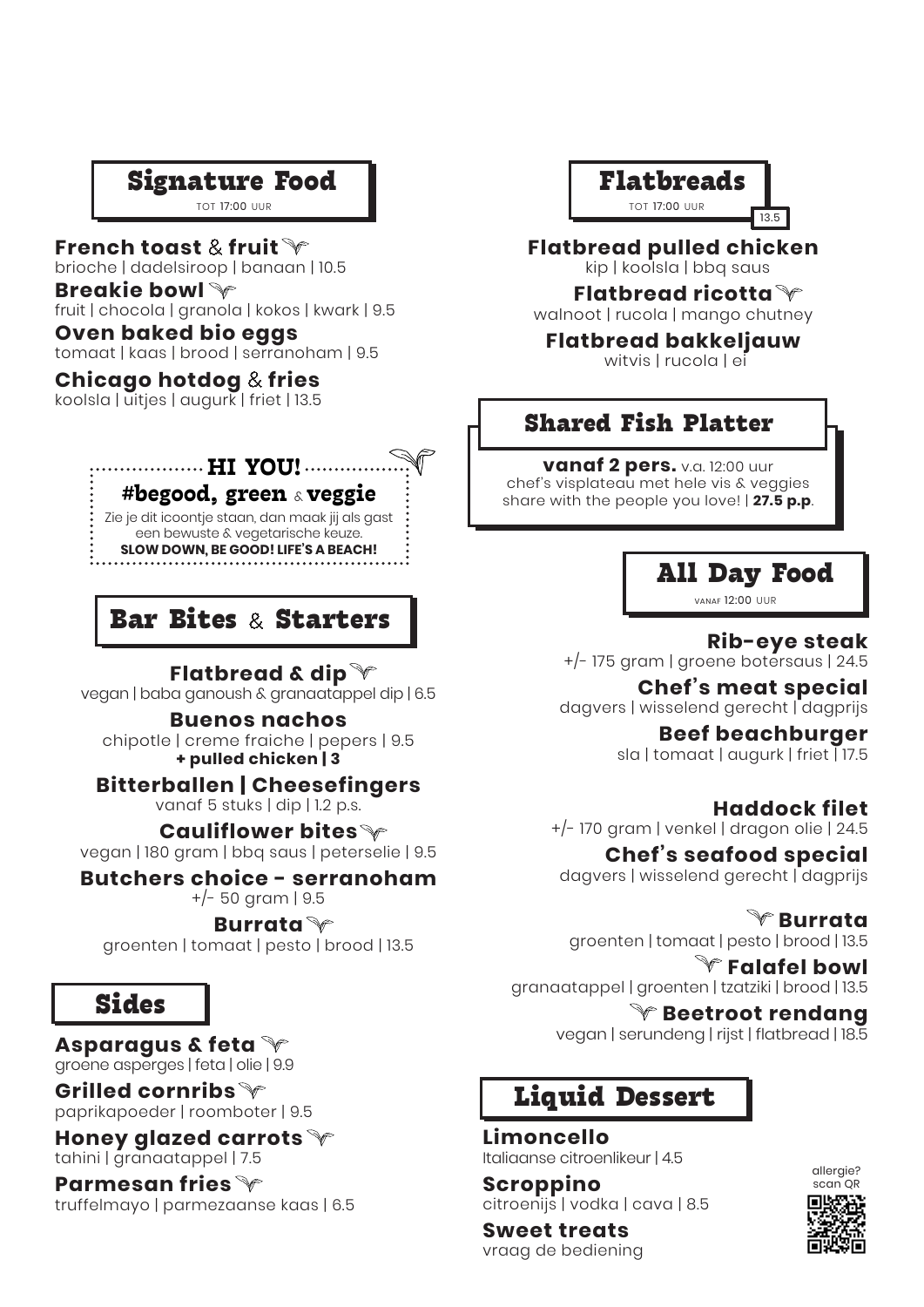

**French toast** & **fruit** 

brioche | dadelsiroop | banaan | 10.5

**Breakie bowl**

fruit | chocola | granola | kokos | kwark | 9.5

**Oven baked bio eggs**  tomaat | kaas | brood | serranoham | 9.5

### **Chicago hotdog** & **fries**

koolsla | uitjes | augurk | friet | 13.5



Zie je dit icoontje staan, dan maak jij als gast een bewuste & vegetarische keuze. **SLOW DOWN, BE GOOD! LIFE'S A BEACH!**

# **Bar Bites** & **Starters**

## **Flatbread & dip**

vegan | baba ganoush & granaatappel dip | 6.5

#### **Buenos nachos**

chipotle | creme fraiche | pepers | 9.5 **+ pulled chicken | 3**

### **Bitterballen | Cheesefingers**

vanaf 5 stuks | dip | 1.2 p.s.

#### **Cauliflower bites**

vegan | 180 gram | bbq saus | peterselie | 9.5

### **Butchers choice - serranoham**

+/- 50 gram | 9.5

**Burrata**  groenten | tomaat | pesto | brood | 13.5

# **Sides**

**Asparagus & feta**  groene asperges | feta | olie | 9.9

**Grilled cornribs** paprikapoeder | roomboter | 9.5

**Honey glazed carrots** tahini | granaatappel | 7.5

**Parmesan fries** truffelmayo | parmezaanse kaas | 6.5



**Flatbread pulled chicken**  kip | koolsla | bbq saus

**Flatbread ricotta** 

walnoot | rucola | mango chutney

**Flatbread bakkeljauw** witvis I rucola l ei

## **Shared Fish Platter**

**HI YOU! vanaf 2 pers.** v.a. 12:00 uur chef's visplateau met hele vis & veggies share with the people you love! | **27.5 p.p**.



**Rib-eye steak** +/- 175 gram | groene botersaus | 24.5

**Chef's meat special**  dagvers | wisselend gerecht | dagprijs

> **Beef beachburger** sla | tomaat | augurk | friet 17.5

## **Haddock filet**

+/- 170 gram | venkel | dragon olie | 24.5

#### **Chef's seafood special**

dagvers | wisselend gerecht | dagprijs

# **Burrata**

groenten | tomaat | pesto | brood | 13.5

**Falafel bowl** granaatappel | groenten | tzatziki | brood | 13.5

**Beetroot rendang** vegan | serundeng | rijst | flatbread | 18.5

# **Liquid Dessert**

**Limoncello**  Italiaanse citroenlikeur | 4.5

**Scroppino** citroenijs | vodka | cava | 8.5

allergie? scan QR<br>**تین کیا**⊡

**Sweet treats** vraag de bediening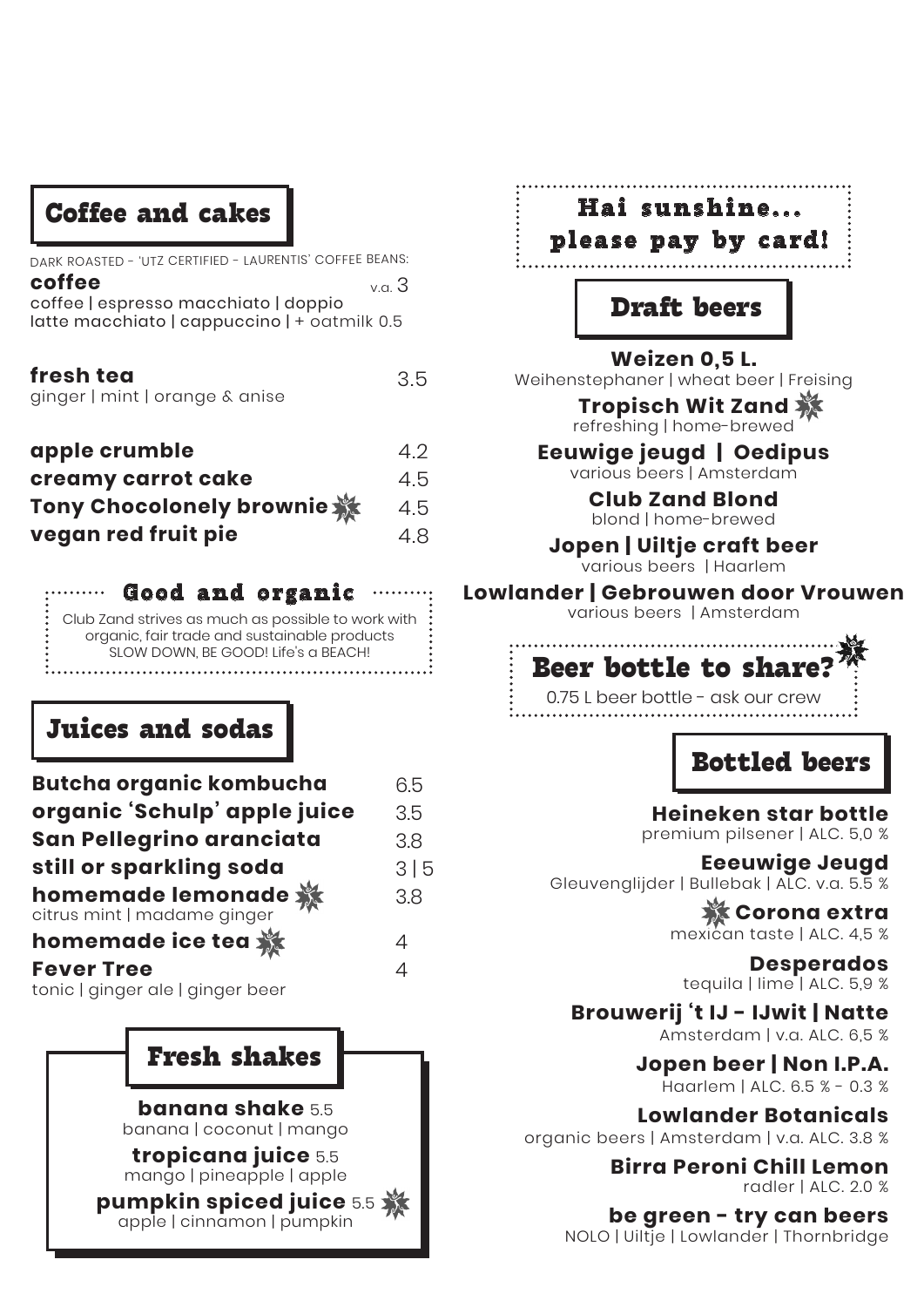## **Coffee and cakes**

| DARK ROASTED - 'UTZ CERTIFIED - LAURENTIS' COFFEE BEANS:                             |       |
|--------------------------------------------------------------------------------------|-------|
| coffee                                                                               | v.a.3 |
| coffee   espresso macchiato   doppio<br>latte macchiato   cappuccino   + oatmilk 0.5 |       |
| fresh tea<br>ginger   mint   orange & anise                                          | 3.5   |
| apple crumble                                                                        | 4.2   |
| creamy carrot cake                                                                   | 4.5   |
| Tony Chocolonely brownie                                                             | 4.5   |
| vegan red fruit pie                                                                  | 4.8   |
|                                                                                      |       |

Club Zand strives as much as possible to work with organic, fair trade and sustainable products SLOW DOWN, BE GOOD! Life's a BEACH! **Cood and organic** manager



| Butcha organic kombucha                          | 6.5            |
|--------------------------------------------------|----------------|
| organic 'Schulp' apple juice                     | 3.5            |
| San Pellegrino aranciata                         | 3.8            |
| still or sparkling soda                          | 3 5            |
| homemade lemonade<br>citrus mint   madame ginger | 3.8            |
| homemade ice tea                                 | 4              |
| <b>Fever Tree</b>                                | $\overline{4}$ |
| tonic   ginger ale   ginger beer                 |                |

## **Fresh shakes**

**banana shake** 5.5 banana | coconut | mango

**tropicana juice** 5.5 mango | pineapple | apple

**pumpkin spiced juice** 5.5 apple | cinnamon | pumpkin



**be green - try can beers** NOLO | Uiltje | Lowlander | Thornbridge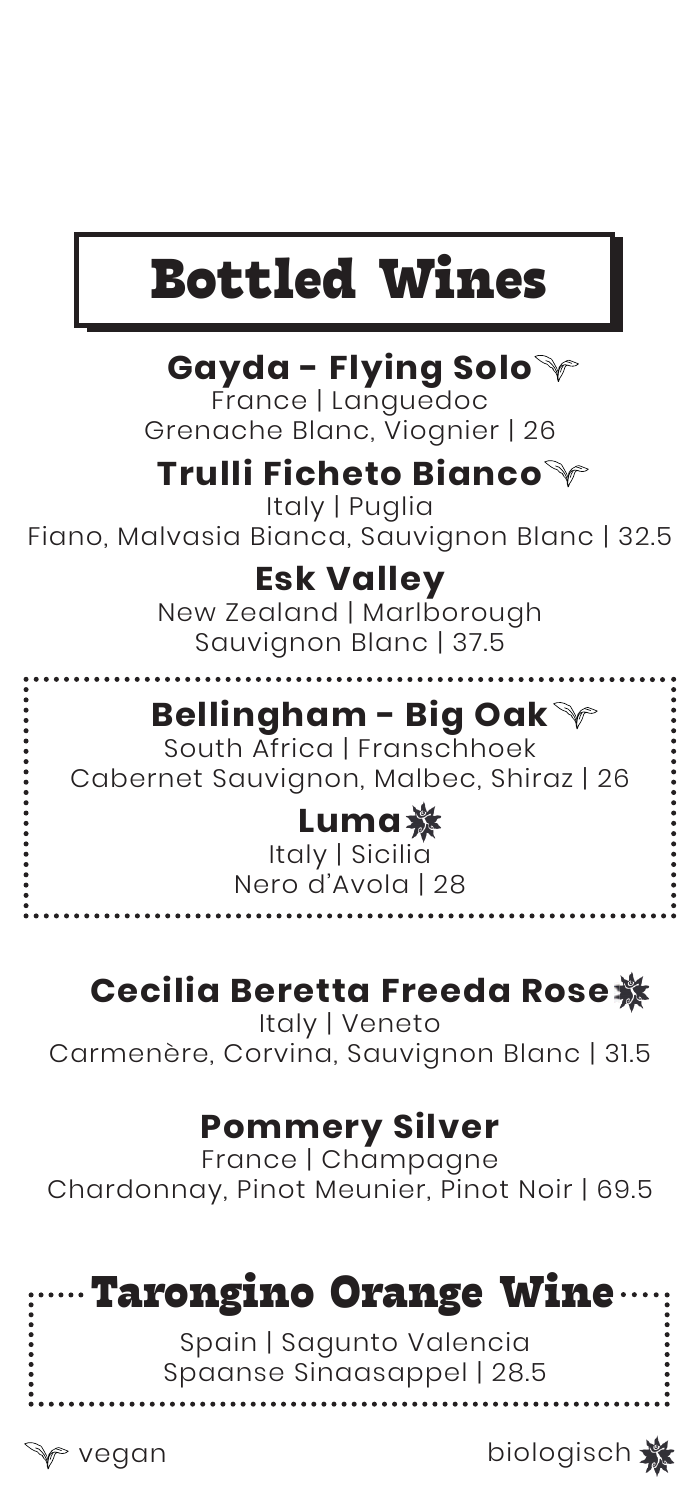# **Bottled Wines**

## **Gayda - Flying Solo**

France | Languedoc Grenache Blanc, Viognier | 26

#### **Trulli Ficheto Bianco**

Italy | Puglia Fiano, Malvasia Bianca, Sauvignon Blanc | 32.5

#### **Esk Valley**

New Zealand | Marlborough Sauvignon Blanc | 37.5

#### **Bellingham - Big Oak**

South Africa | Franschhoek Cabernet Sauvignon, Malbec, Shiraz | 26

#### **Luma**

Italy | Sicilia Nero d'Avola | 28

## **Cecilia Beretta Freeda Rose**

Italy | Veneto Carmenère, Corvina, Sauvignon Blanc | 31.5

#### **Pommery Silver**

France | Champagne Chardonnay, Pinot Meunier, Pinot Noir | 69.5



Spain | Sagunto Valencia Spaanse Sinaasappel | 28.5

................

vegan biologisch $\lambda$ 

..............